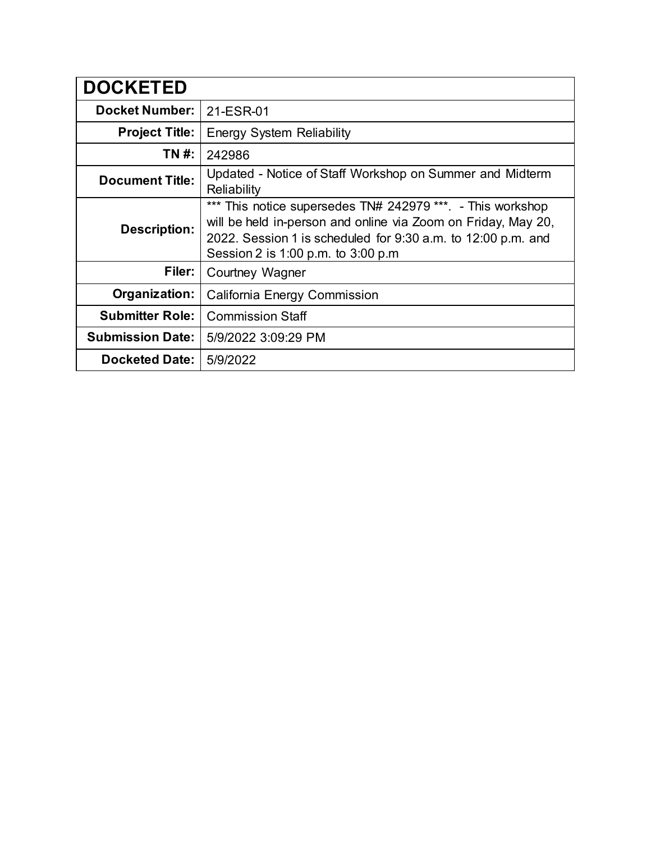| <b>DOCKETED</b>         |                                                                                                                                                                                                                                    |
|-------------------------|------------------------------------------------------------------------------------------------------------------------------------------------------------------------------------------------------------------------------------|
| <b>Docket Number:</b>   | 21-ESR-01                                                                                                                                                                                                                          |
| <b>Project Title:</b>   | <b>Energy System Reliability</b>                                                                                                                                                                                                   |
| TN #:                   | 242986                                                                                                                                                                                                                             |
| <b>Document Title:</b>  | Updated - Notice of Staff Workshop on Summer and Midterm<br>Reliability                                                                                                                                                            |
| <b>Description:</b>     | *** This notice supersedes TN# 242979 ***. - This workshop<br>will be held in-person and online via Zoom on Friday, May 20,<br>2022. Session 1 is scheduled for 9:30 a.m. to 12:00 p.m. and<br>Session 2 is 1:00 p.m. to 3:00 p.m. |
| Filer:                  | Courtney Wagner                                                                                                                                                                                                                    |
| Organization:           | California Energy Commission                                                                                                                                                                                                       |
| <b>Submitter Role:</b>  | <b>Commission Staff</b>                                                                                                                                                                                                            |
| <b>Submission Date:</b> | 5/9/2022 3:09:29 PM                                                                                                                                                                                                                |
| <b>Docketed Date:</b>   | 5/9/2022                                                                                                                                                                                                                           |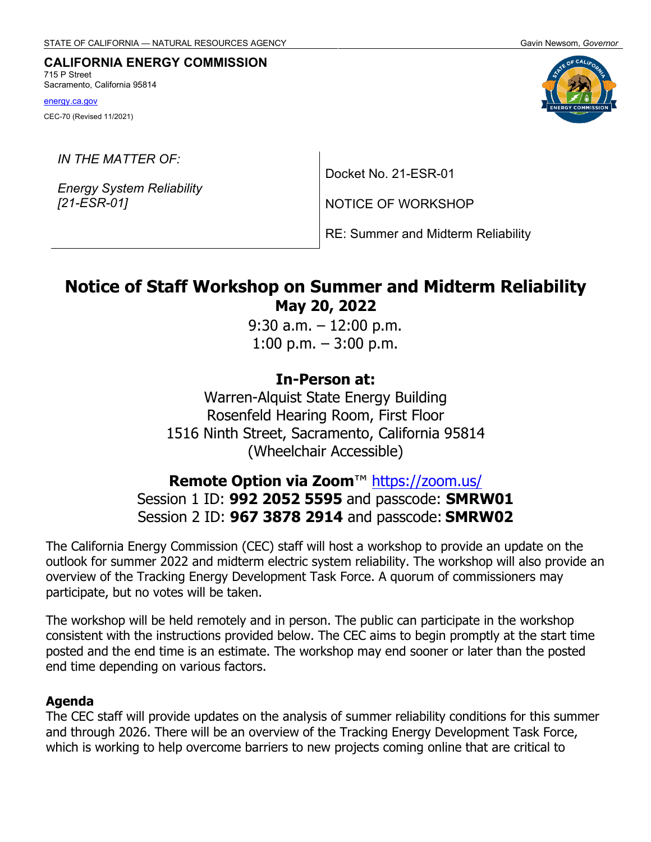#### **CALIFORNIA ENERGY COMMISSION** 715 P Street

Sacramento, California 95814

[energy.ca.gov](http://www.energy.ca.gov/)

CEC-70 (Revised 11/2021)

*IN THE MATTER OF:*

*Energy System Reliability [21-ESR-01]*

Docket No. 21-ESR-01

NOTICE OF WORKSHOP

RE: Summer and Midterm Reliability

# **Notice of Staff Workshop on Summer and Midterm Reliability May 20, 2022**

9:30 a.m. – 12:00 p.m. 1:00 p.m.  $-3:00$  p.m.

# **In-Person at:**

Warren-Alquist State Energy Building Rosenfeld Hearing Room, First Floor 1516 Ninth Street, Sacramento, California 95814 (Wheelchair Accessible)

# **Remote Option via Zoom**™<https://zoom.us/> Session 1 ID: **992 2052 5595** and passcode: **SMRW01** Session 2 ID: **967 3878 2914** and passcode: **SMRW02**

The California Energy Commission (CEC) staff will host a workshop to provide an update on the outlook for summer 2022 and midterm electric system reliability. The workshop will also provide an overview of the Tracking Energy Development Task Force. A quorum of commissioners may participate, but no votes will be taken.

The workshop will be held remotely and in person. The public can participate in the workshop consistent with the instructions provided below. The CEC aims to begin promptly at the start time posted and the end time is an estimate. The workshop may end sooner or later than the posted end time depending on various factors.

#### **Agenda**

The CEC staff will provide updates on the analysis of summer reliability conditions for this summer and through 2026. There will be an overview of the Tracking Energy Development Task Force, which is working to help overcome barriers to new projects coming online that are critical to

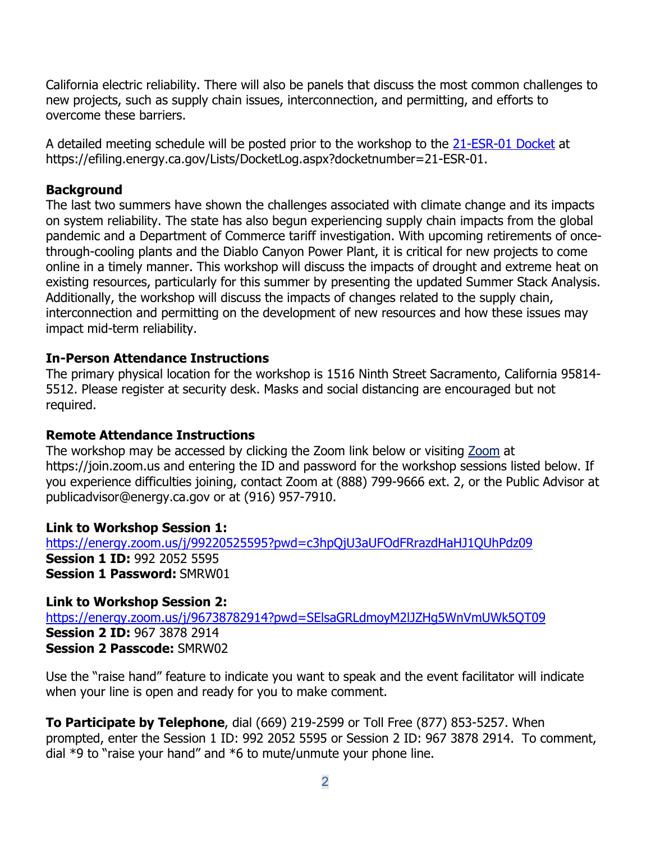California electric reliability. There will also be panels that discuss the most common challenges to new projects, such as supply chain issues, interconnection, and permitting, and efforts to overcome these barriers.

A detailed meeting schedule will be posted prior to the workshop to the [21-ESR-01 Docket](https://efiling.energy.ca.gov/Lists/DocketLog.aspx?docketnumber=21-ESR-01) at [https://efiling.energy.ca.gov/Lists/DocketLog.aspx?docketnumber=21-ESR-01.](https://efiling.energy.ca.gov/Lists/DocketLog.aspx?docketnumber=21-ESR-01)

# **Background**

The last two summers have shown the challenges associated with climate change and its impacts on system reliability. The state has also begun experiencing supply chain impacts from the global pandemic and a Department of Commerce tariff investigation. With upcoming retirements of oncethrough-cooling plants and the Diablo Canyon Power Plant, it is critical for new projects to come online in a timely manner. This workshop will discuss the impacts of drought and extreme heat on existing resources, particularly for this summer by presenting the updated Summer Stack Analysis. Additionally, the workshop will discuss the impacts of changes related to the supply chain, interconnection and permitting on the development of new resources and how these issues may impact mid-term reliability.

# **In-Person Attendance Instructions**

The primary physical location for the workshop is 1516 Ninth Street Sacramento, California 95814- 5512. Please register at security desk. Masks and social distancing are encouraged but not required.

# **Remote Attendance Instructions**

The workshop may be accessed by clicking the Zoom link below or visiting [Zoom](https://join.zoom.us/) at https://join.zoom.us and entering the ID and password for the workshop sessions listed below. If you experience difficulties joining, contact Zoom at (888) 799-9666 ext. 2, or the Public Advisor at [publicadvisor@energy.ca.gov](mailto:publicadvisor@energy.ca.gov) or at (916) 957-7910.

# **Link to Workshop Session 1:**

<https://energy.zoom.us/j/99220525595?pwd=c3hpQjU3aUFOdFRrazdHaHJ1QUhPdz09> **Session 1 ID:** 992 2052 5595 **Session 1 Password:** SMRW01

**Link to Workshop Session 2:** <https://energy.zoom.us/j/96738782914?pwd=SElsaGRLdmoyM2lJZHg5WnVmUWk5QT09> **Session 2 ID:** 967 3878 2914 **Session 2 Passcode:** SMRW02

Use the "raise hand" feature to indicate you want to speak and the event facilitator will indicate when your line is open and ready for you to make comment.

**To Participate by Telephone**, dial (669) 219-2599 or Toll Free (877) 853-5257. When prompted, enter the Session 1 ID: 992 2052 5595 or Session 2 ID: 967 3878 2914. To comment, dial \*9 to "raise your hand" and \*6 to mute/unmute your phone line.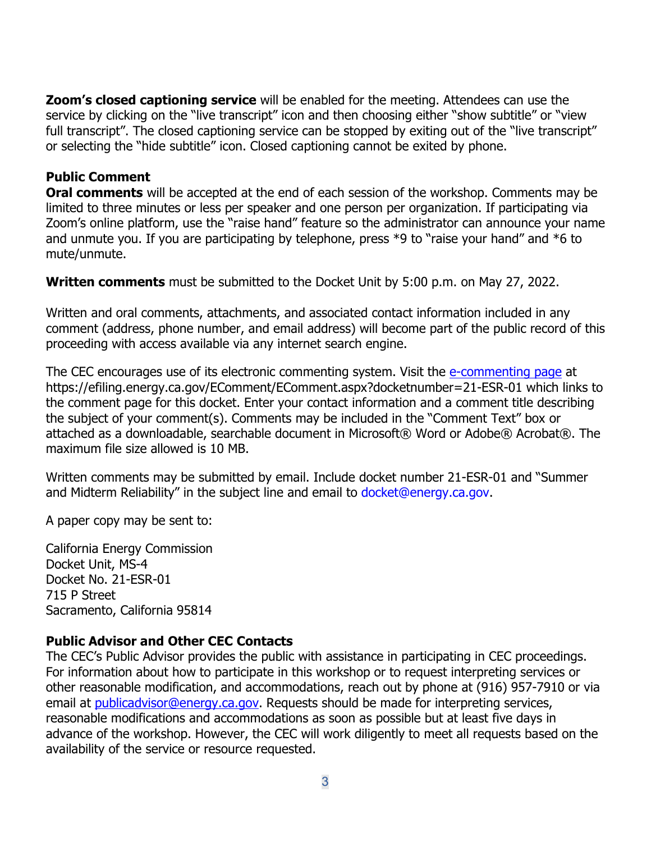**Zoom's closed captioning service** will be enabled for the meeting. Attendees can use the service by clicking on the "live transcript" icon and then choosing either "show subtitle" or "view full transcript". The closed captioning service can be stopped by exiting out of the "live transcript" or selecting the "hide subtitle" icon. Closed captioning cannot be exited by phone.

# **Public Comment**

**Oral comments** will be accepted at the end of each session of the workshop. Comments may be limited to three minutes or less per speaker and one person per organization. If participating via Zoom's online platform, use the "raise hand" feature so the administrator can announce your name and unmute you. If you are participating by telephone, press \*9 to "raise your hand" and \*6 to mute/unmute.

**Written comments** must be submitted to the Docket Unit by 5:00 p.m. on May 27, 2022.

Written and oral comments, attachments, and associated contact information included in any comment (address, phone number, and email address) will become part of the public record of this proceeding with access available via any internet search engine.

The CEC encourages use of its electronic commenting system. Visit the [e-commenting page](https://efiling.energy.ca.gov/EComment/EComment.aspx?docketnumber=21-ESR-01) at <https://efiling.energy.ca.gov/EComment/EComment.aspx?docketnumber=21-ESR-01> which links to the comment page for this docket. Enter your contact information and a comment title describing the subject of your comment(s). Comments may be included in the "Comment Text" box or attached as a downloadable, searchable document in Microsoft® Word or Adobe® Acrobat®. The maximum file size allowed is 10 MB.

Written comments may be submitted by email. Include docket number 21-ESR-01 and "Summer and Midterm Reliability" in the subject line and email to [docket@energy.ca.gov.](mailto:docket@energy.ca.gov)

A paper copy may be sent to:

California Energy Commission Docket Unit, MS-4 Docket No. 21-ESR-01 715 P Street Sacramento, California 95814

# **Public Advisor and Other CEC Contacts**

The CEC's Public Advisor provides the public with assistance in participating in CEC proceedings. For information about how to participate in this workshop or to request interpreting services or other reasonable modification, and accommodations, reach out by phone at (916) 957-7910 or via email at [publicadvisor@energy.ca.gov.](mailto:at%C2%A0publicadvisor@energy.ca.gov) Requests should be made for interpreting services, reasonable modifications and accommodations as soon as possible but at least five days in advance of the workshop. However, the CEC will work diligently to meet all requests based on the availability of the service or resource requested.